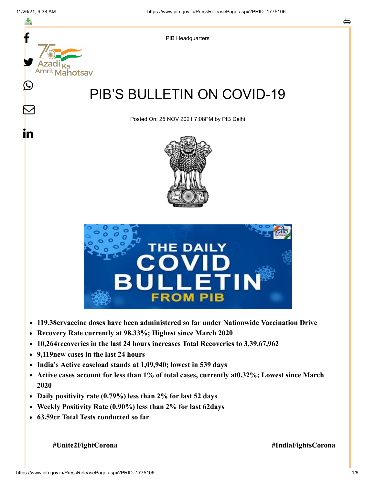

- 
- **Recovery Rate currently at 98.33%; Highest since March 2020**  $\bullet$
- **10,264recoveries in the last 24 hours increases Total Recoveries to 3,39,67,962**  $\bullet$
- **9,119new cases in the last 24 hours**  $\bullet$
- **India's Active caseload stands at 1,09,940; lowest in 539 days**
- **Active cases account for less than 1% of total cases, currently at0.32%; Lowest since March**  $\bullet$ **2020**
- **Daily positivity rate (0.79%) less than 2% for last 52 days**
- **Weekly Positivity Rate (0.90%) less than 2% for last 62days**  $\bullet$
- **63.59cr Total Tests conducted so far**

 **#Unite2FightCorona #IndiaFightsCorona**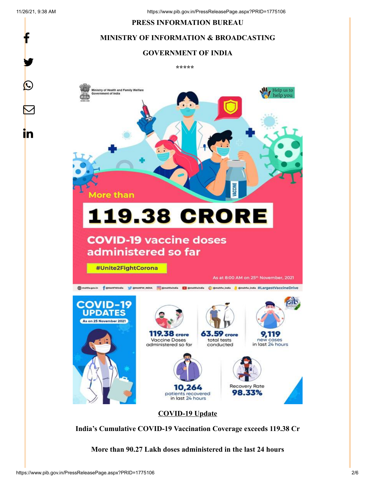f

y.

 $\bigcirc$ 

 $\bm{\nabla}$ 

<u>in</u>

#### **PRESS INFORMATION BUREAU**

# **MINISTRY OF INFORMATION & BROADCASTING**

#### **GOVERNMENT OF INDIA**

**\*\*\*\*\***



**India's Cumulative COVID-19 Vaccination Coverage exceeds 119.38 Cr**

**More than 90.27 Lakh doses administered in the last 24 hours**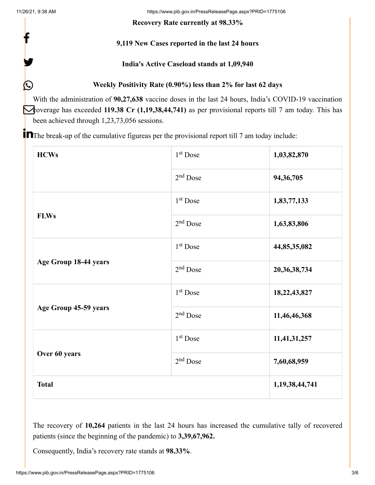f

y.

 $\bigcirc$ 

11/26/21, 9:38 AM https://www.pib.gov.in/PressReleasePage.aspx?PRID=1775106

**Recovery Rate currently at 98.33%**

# **9,119 New Cases reported in the last 24 hours**

## **India's Active Caseload stands at 1,09,940**

**Weekly Positivity Rate (0.90%) less than 2% for last 62 days**

With the administration of **90,27,638** vaccine doses in the last 24 hours, India's COVID-19 vaccination coverage has exceeded 119.38 Cr (1,19,38,44,741) as per provisional reports till 7 am today. This has been achieved through 1,23,73,056 sessions.

**T** The break-up of the cumulative figureas per the provisional report till 7 am today include:

| <b>HCWs</b>           | 1 <sup>st</sup> Dose | 1,03,82,870    |
|-----------------------|----------------------|----------------|
|                       | $2nd$ Dose           | 94, 36, 705    |
| <b>FLWs</b>           | 1 <sup>st</sup> Dose | 1,83,77,133    |
|                       | $2nd$ Dose           | 1,63,83,806    |
| Age Group 18-44 years | 1 <sup>st</sup> Dose | 44,85,35,082   |
|                       | $2nd$ Dose           | 20,36,38,734   |
| Age Group 45-59 years | 1 <sup>st</sup> Dose | 18,22,43,827   |
|                       | 2 <sup>nd</sup> Dose | 11,46,46,368   |
| Over 60 years         | 1 <sup>st</sup> Dose | 11,41,31,257   |
|                       | $2nd$ Dose           | 7,60,68,959    |
| <b>Total</b>          |                      | 1,19,38,44,741 |

The recovery of **10,264** patients in the last 24 hours has increased the cumulative tally of recovered patients (since the beginning of the pandemic) to **3,39,67,962.**

Consequently, India's recovery rate stands at **98.33%**.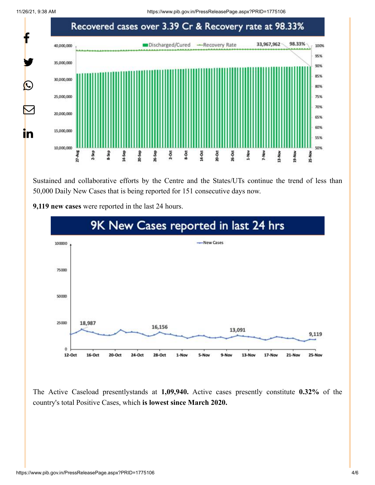11/26/21, 9:38 AM https://www.pib.gov.in/PressReleasePage.aspx?PRID=1775106



Sustained and collaborative efforts by the Centre and the States/UTs continue the trend of less than 50,000 Daily New Cases that is being reported for 151 consecutive days now.



**9,119 new cases** were reported in the last 24 hours.

The Active Caseload presentlystands at **1,09,940.** Active cases presently constitute **0.32%** of the country's total Positive Cases, which **is lowest since March 2020.**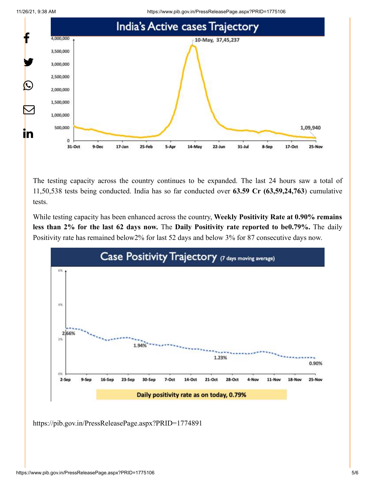11/26/21, 9:38 AM https://www.pib.gov.in/PressReleasePage.aspx?PRID=1775106





The testing capacity across the country continues to be expanded. The last 24 hours saw a total of 11,50,538 tests being conducted. India has so far conducted over **63.59 Cr (63,59,24,763**) cumulative tests.

While testing capacity has been enhanced across the country, **Weekly Positivity Rate at 0.90% remains less than 2% for the last 62 days now.** The **Daily Positivity rate reported to be0.79%.** The daily Positivity rate has remained below2% for last 52 days and below 3% for 87 consecutive days now.



<https://pib.gov.in/PressReleasePage.aspx?PRID=1774891>